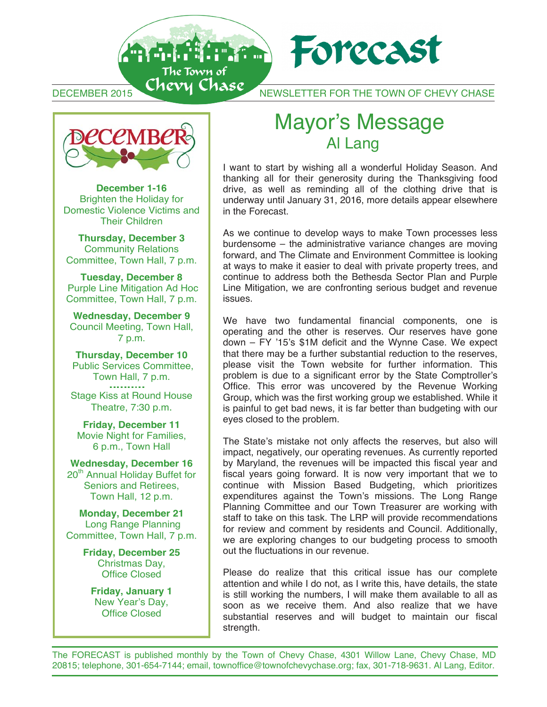DEMBER 2015 NEWSLETTER FOR THE TOWN OF CHEVY CHASE DECEMBER 2015 CHEVY CHASE NEWSLETTER FOR THE TOWN OF CHEVY CHASE DECEMBER 2015 NEWSLETTER FOR THE TOWN OF CHEVY CHASE

Forecast



An der Hallen für

**December 1-16**  Brighten the Holiday for **December 1-16 December 1-16 Brighten the Holiday for** Brighten the Holiday for Domestic Violence Victims and Their Children Their Children Their Children

**Thursday, December 3 Thursday, December 3** Community Relations Committee, Town Hall, 7 p.m. Committee, Town Hall, 7 p.m. Committee, Town Hall, 7 p.m. **Thursday, December 3 Community Relations** 

**Tuesday, December 8 Tuesday, December 8**  Purple Line Mitigation Ad Hoc Committee, Town Hall, 7 p.m. Committee, Town Hall, 7 p.m. Committee, Town Hall, 7 p.m. **Tuesday, December 8** Purple Line Mitigation Ad Hoc

**Wednesday, December 9 Wednesday, December 9** Council Meeting, Town Hall, Council Meeting, Town Hall, Council Meeting, Town Hall, Council Meeting, Town Hall, 7 p.m. 7 p.m. 7 p.m. 7 p.m. **Wednesday, December 9 Wednesday, December 9**

**Thursday, December 10 Thursday, December 10 Thursday, December 10 Thursday, December 10**  Public Services Committee, Public Services Committee, Public Services Committee, Public Services Committee, Town Hall, 7 p.m. Town Hall, 7 p.m. Town Hall, 7 p.m. Town Hall, 7 p.m. Stage Kiss at Round House Stage Kiss at Round House Stage Kiss at Round House Stage Kiss at Round House Theatre, 7:30 p.m. Theatre, 7:30 p.m. Theatre, 7:30 p.m. Theatre, 7:30 p.m.

**Friday, December 11 Friday, December 11 Friday, December 11 Friday, December 11**  Movie Night for Families, Movie Night for Families, Movie Night for Families, Movie Night for Families, 6 p.m., Town Hall 6 p.m., Town Hall 6 p.m., Town Hall 6 p.m., Town Hall

**Wednesday, December 16 Wednesday, December 16 Wednesday, December 16 Wednesday, December 16**  wednesday, December 16<br>
20<sup>th</sup> Annual Holiday Buffet for Seniors and Retirees, Seniors and Retirees, Seniors and Retirees, Seniors and Retirees, Town Hall, 12 p.m. Town Hall, 12 p.m. Town Hall, 12 p.m. Town Hall, 12 p.m.

**Monday, December 21 Monday, December 21 Monday, December 21 Monday, December 21**  Long Range Planning Long Range Planning Long Range Planning Long Range Planning Committee, Town Hall, 7 p.m. Committee, Town Hall, 7 p.m. Committee, Town Hall, 7 p.m. Committee, Town Hall, 7 p.m.

**Friday, December 25 Friday, December 25 Friday, December 25 Friday, December 25**  Christmas Day, Christmas Day, Christmas Day, Office Closed Office Closed Office Closed Christmas Day, Office Closed

**Friday, January 1**  New Year's Day, r Tears Day,<br>fice Closed **Friday, January 1 Friday, January 1 New Year's Day,** Office Closed Office Closed New Year's Day, Office Closed

## **Mayor's Message<br>Al Lang** Mayor's Message<br>Al Lang **Mayor's Message<br>Al Lang**

I want to start by wishing all a wonderful Holiday Season. And I want to start by wishing all a wonderful Holiday Season. And I want to start by wishing all a wonderful Holiday Season. And thanking all for their generosity during the Thanksgiving food drive, as well as reminding all of the clothing drive that is underway until January 31, 2016, more details appear elsewhere underway unification of the Forecast.<br>in the Forecast. in the Forecast.

As we continue to develop ways to make Town processes less As we continue to develop ways to make Town processes less As we continue to develop ways to make Town processes less burdensome – the administrative variance changes are moving forward, and The Climate and Environment Committee is looking at ways to make it easier to deal with private property trees, and continue to address both the Bethesda Sector Plan and Purple Line Mitigation, we are confronting serious budget and revenue issues. issues. issues. Line Mitigation, we are confronting serious budget and revenue Line Mitigation, we are confronting serious budget and revenue issues.

We have two fundamental financial components, one is We have two fundamental financial components, one is operating and the other is reserves. Our reserves have gone operating and the other is reserves. Our reserves have gone<br>down – FY '15's \$1M deficit and the Wynne Case. We expect that there may be a further substantial reduction to the reserves, please visit the Town website for further information. This predict visit the Town website for familier information. This Office. This error was uncovered by the Revenue Working Group, which was the first working group we established. While it is painful to get bad news, it is far better than budgeting with our is paintance get bad news, it is far better than budgeting with our eyes closed to the problem. eyes closed to the problem. eyes closed to the problem.

The State's mistake not only affects the reserves, but also will The State's mistake not only affects the reserves, but also will impact, negatively, our operating revenues. As currently reported impact, negatively, our operating revenues. As currently reported by Maryland, the revenues will be impacted this fiscal year and by Maryland, the revenues will be impacted this fiscal year and by Maryland, the revenues will be impacted the result year and fiscal years going forward. It is now very important that we to istal years going forward. It is now very important that we to<br>continue with Mission Based Budgeting, which prioritizes expenditures against the Town's missions. The Long Range Planning Committee and our Town Treasurer are working with staff to take on this task. The LRP will provide recommendations for review and comment by residents and Council. Additionally, we are exploring changes to our budgeting process to smooth we are exploring changes to our budgeting process to smooth our budgeting process to smooth out the fluctuations in our revenue. The State's mistake net only affects the reserves, car also minimized the reserves impact, negatively, our operating revenues. The currently reported by Maryland, the revenues will be impacted this fiscal vear and out the fluctuations in our revenue.

Please do realize that this critical issue has our complete attention and while I do not, as I write this, have details, the state is still working the numbers, I will make them available to all as soon as we receive them. And also realize that we have substantial reserves and will budget to maintain our fiscal strength.<br>Strength. strength. strength. The substantial reserves and will budget to maintain our fiscal reserves and will budget to maintain our fiscal reserves and will budget to maintain our fiscal reserves and will budget the serves and will budget

ĺ

strength.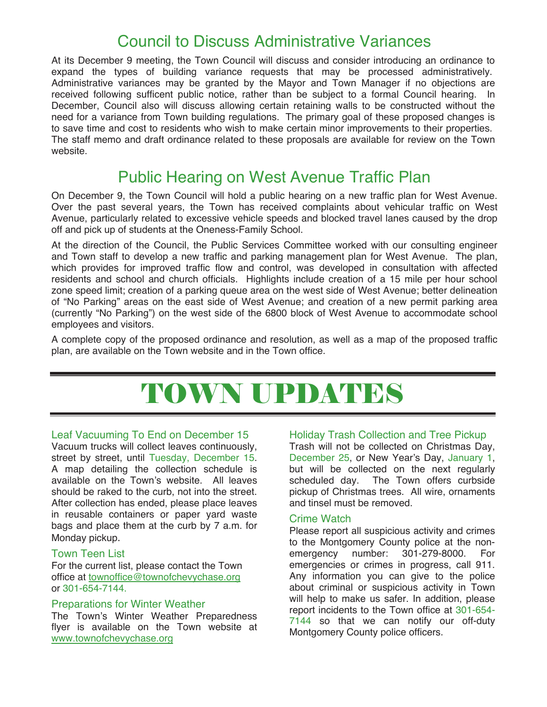# Council to Discuss Administrative Variances

At its December 9 meeting, the Town Council will discuss and consider introducing an ordinance to expand the types of building variance requests that may be processed administratively. Administrative variances may be granted by the Mayor and Town Manager if no objections are received following sufficent public notice, rather than be subject to a formal Council hearing. In December, Council also will discuss allowing certain retaining walls to be constructed without the need for a variance from Town building regulations. The primary goal of these proposed changes is to save time and cost to residents who wish to make certain minor improvements to their properties. The staff memo and draft ordinance related to these proposals are available for review on the Town website.

# Public Hearing on West Avenue Traffic Plan

On December 9, the Town Council will hold a public hearing on a new traffic plan for West Avenue. Over the past several years, the Town has received complaints about vehicular traffic on West Avenue, particularly related to excessive vehicle speeds and blocked travel lanes caused by the drop off and pick up of students at the Oneness-Family School.

At the direction of the Council, the Public Services Committee worked with our consulting engineer and Town staff to develop a new traffic and parking management plan for West Avenue. The plan, which provides for improved traffic flow and control, was developed in consultation with affected residents and school and church officials. Highlights include creation of a 15 mile per hour school zone speed limit; creation of a parking queue area on the west side of West Avenue; better delineation of "No Parking" areas on the east side of West Avenue; and creation of a new permit parking area (currently "No Parking") on the west side of the 6800 block of West Avenue to accommodate school employees and visitors.

A complete copy of the proposed ordinance and resolution, as well as a map of the proposed traffic plan, are available on the Town website and in the Town office.

# TOWN UPDATES

### Leaf Vacuuming To End on December 15

Vacuum trucks will collect leaves continuously, street by street, until Tuesday, December 15. A map detailing the collection schedule is available on the Town's website. All leaves should be raked to the curb, not into the street. After collection has ended, please place leaves in reusable containers or paper yard waste bags and place them at the curb by 7 a.m. for Monday pickup.

### Town Teen List

l

For the current list, please contact the Town office at townoffice@townofchevychase.org or 301-654-7144.

### Preparations for Winter Weather

The Town's Winter Weather Preparedness flyer is available on the Town website at www.townofchevychase.org

### Holiday Trash Collection and Tree Pickup

Trash will not be collected on Christmas Day, December 25, or New Year's Day, January 1, but will be collected on the next regularly scheduled day. The Town offers curbside pickup of Christmas trees. All wire, ornaments and tinsel must be removed.

#### Crime Watch

Please report all suspicious activity and crimes to the Montgomery County police at the nonemergency number: 301-279-8000. For emergencies or crimes in progress, call 911. Any information you can give to the police about criminal or suspicious activity in Town will help to make us safer. In addition, please report incidents to the Town office at 301-654- 7144 so that we can notify our off-duty Montgomery County police officers.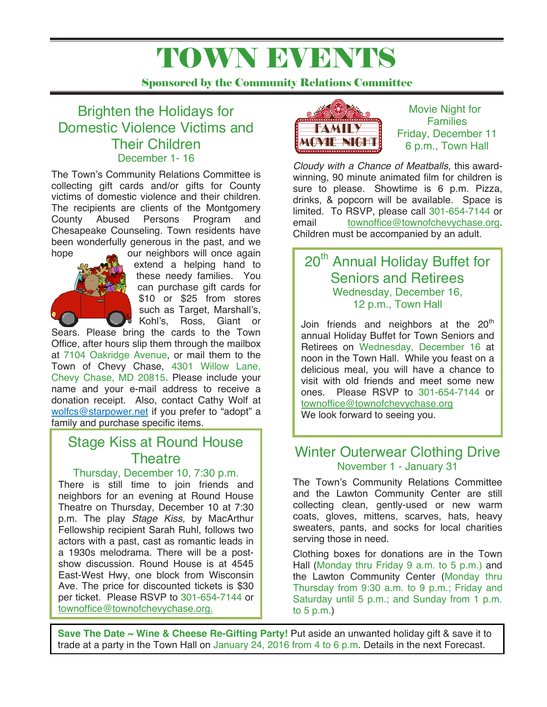# TOWN EVENTS

Sponsored by the Community Relations Committee

## Brighten the Holidays for Domestic Violence Victims and Their Children December 1- 16

The Town's Community Relations Committee is collecting gift cards and/or gifts for County victims of domestic violence and their children. The recipients are clients of the Montgomery County Abused Persons Program and Chesapeake Counseling. Town residents have been wonderfully generous in the past, and we hope our neighbors will once again



extend a helping hand to these needy families. You can purchase gift cards for \$10 or \$25 from stores such as Target, Marshall's,<br>Kohl's, Ross, Giant or Kohl's, Ross,

Sears. Please bring the cards to the Town Office, after hours slip them through the mailbox at 7104 Oakridge Avenue, or mail them to the Town of Chevy Chase, 4301 Willow Lane, Chevy Chase, MD 20815. Please include your name and your e-mail address to receive a donation receipt. Also, contact Cathy Wolf at wolfcs@starpower.net if you prefer to "adopt" a family and purchase specific items.

## Stage Kiss at Round House **Theatre**

### Thursday, December 10, 7:30 p.m.

per lickel. Please RSVP to 301-654<br>townoffice@townofchevychase.org. There is still time to join friends and neighbors for an evening at Round House Theatre on Thursday, December 10 at 7:30 p.m. The play *Stage Kiss,* by MacArthur Fellowship recipient Sarah Ruhl, follows two actors with a past, cast as romantic leads in a 1930s melodrama. There will be a postshow discussion. Round House is at 4545 East-West Hwy, one block from Wisconsin Ave. The price for discounted tickets is \$30 per ticket. Please RSVP to 301-654-7144 or



Movie Night for **Families** Friday, December 11 6 p.m., Town Hall

*Cloudy with a Chance of Meatballs*, this awardwinning, 90 minute animated film for children is sure to please. Showtime is 6 p.m. Pizza, drinks, & popcorn will be available. Space is limited. To RSVP, please call 301-654-7144 or email townoffice@townofchevychase.org. Children must be accompanied by an adult.

## 20<sup>th</sup> Annual Holiday Buffet for Seniors and Retirees Wednesday, December 16, 12 p.m., Town Hall

Join friends and neighbors at the  $20<sup>th</sup>$ annual Holiday Buffet for Town Seniors and Retirees on Wednesday, December 16 at noon in the Town Hall. While you feast on a delicious meal, you will have a chance to visit with old friends and meet some new ones. Please RSVP to 301-654-7144 or townoffice@townofchevychase.org We look forward to seeing you.

## Winter Outerwear Clothing Drive November 1 - January 31

The Town's Community Relations Committee and the Lawton Community Center are still collecting clean, gently-used or new warm coats, gloves, mittens, scarves, hats, heavy sweaters, pants, and socks for local charities serving those in need.

Clothing boxes for donations are in the Town Hall (Monday thru Friday 9 a.m. to 5 p.m.) and the Lawton Community Center (Monday thru Thursday from 9:30 a.m. to 9 p.m.; Friday and Saturday until 5 p.m.; and Sunday from 1 p.m. to  $5$  p.m.)

**Save The Date ~ Wine & Cheese Re-Gifting Party!** Put aside an unwanted holiday gift & save it to trade at a party in the Town Hall on January 24, 2016 from 4 to 6 p.m. Details in the next Forecast.